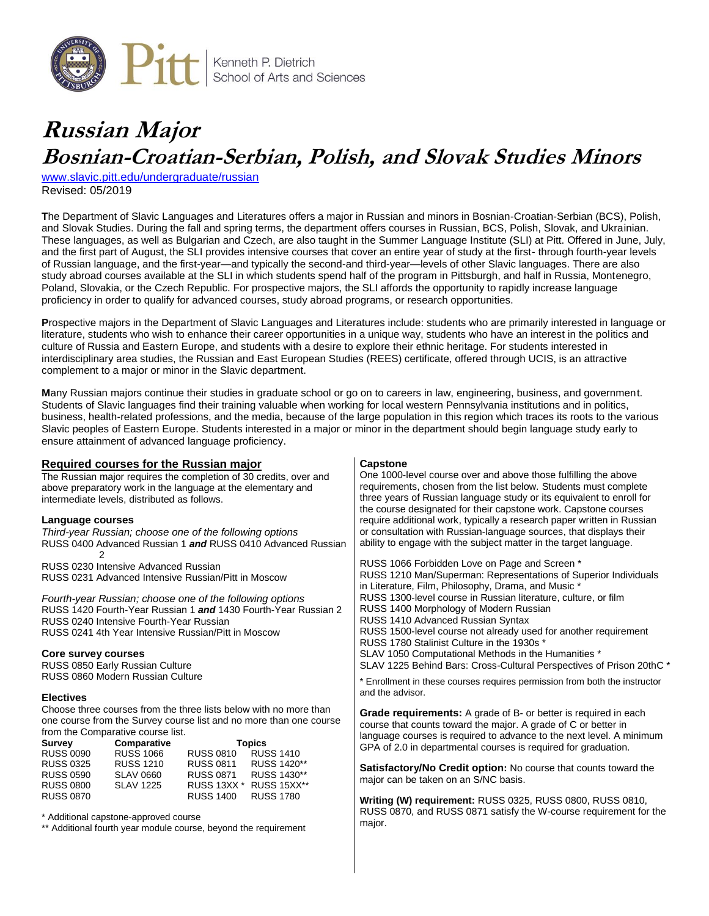

# **Russian Major Bosnian-Croatian-Serbian, Polish, and Slovak Studies Minors**

[www.slavic.pitt.edu/undergraduate/russian](http://www.slavic.pitt.edu/undergraduate/russian) Revised: 05/2019

**T**he Department of Slavic Languages and Literatures offers a major in Russian and minors in Bosnian-Croatian-Serbian (BCS), Polish, and Slovak Studies. During the fall and spring terms, the department offers courses in Russian, BCS, Polish, Slovak, and Ukrainian. These languages, as well as Bulgarian and Czech, are also taught in the Summer Language Institute (SLI) at Pitt. Offered in June, July, and the first part of August, the SLI provides intensive courses that cover an entire year of study at the first- through fourth-year levels of Russian language, and the first-year—and typically the second-and third-year—levels of other Slavic languages. There are also study abroad courses available at the SLI in which students spend half of the program in Pittsburgh, and half in Russia, Montenegro, Poland, Slovakia, or the Czech Republic. For prospective majors, the SLI affords the opportunity to rapidly increase language proficiency in order to qualify for advanced courses, study abroad programs, or research opportunities.

**P**rospective majors in the Department of Slavic Languages and Literatures include: students who are primarily interested in language or literature, students who wish to enhance their career opportunities in a unique way, students who have an interest in the politics and culture of Russia and Eastern Europe, and students with a desire to explore their ethnic heritage. For students interested in interdisciplinary area studies, the Russian and East European Studies (REES) certificate, offered through UCIS, is an attractive complement to a major or minor in the Slavic department.

**M**any Russian majors continue their studies in graduate school or go on to careers in law, engineering, business, and government. Students of Slavic languages find their training valuable when working for local western Pennsylvania institutions and in politics, business, health-related professions, and the media, because of the large population in this region which traces its roots to the various Slavic peoples of Eastern Europe. Students interested in a major or minor in the department should begin language study early to ensure attainment of advanced language proficiency.

| Required courses for the Russian major<br>The Russian major requires the completion of 30 credits, over and<br>above preparatory work in the language at the elementary and<br>intermediate levels, distributed as follows.<br>Language courses<br>Third-year Russian; choose one of the following options<br>RUSS 0400 Advanced Russian 1 and RUSS 0410 Advanced Russian<br>2<br>RUSS 0230 Intensive Advanced Russian                                                                                                                                                                                                                                                                                         | <b>Capstone</b><br>One 1000-level course over and above those fulfilling the above<br>requirements, chosen from the list below. Students must complete<br>three years of Russian language study or its equivalent to enroll for<br>the course designated for their capstone work. Capstone courses<br>require additional work, typically a research paper written in Russian<br>or consultation with Russian-language sources, that displays their<br>ability to engage with the subject matter in the target language.<br>RUSS 1066 Forbidden Love on Page and Screen *                                                  |
|----------------------------------------------------------------------------------------------------------------------------------------------------------------------------------------------------------------------------------------------------------------------------------------------------------------------------------------------------------------------------------------------------------------------------------------------------------------------------------------------------------------------------------------------------------------------------------------------------------------------------------------------------------------------------------------------------------------|---------------------------------------------------------------------------------------------------------------------------------------------------------------------------------------------------------------------------------------------------------------------------------------------------------------------------------------------------------------------------------------------------------------------------------------------------------------------------------------------------------------------------------------------------------------------------------------------------------------------------|
| RUSS 0231 Advanced Intensive Russian/Pitt in Moscow<br>Fourth-year Russian; choose one of the following options<br>RUSS 1420 Fourth-Year Russian 1 and 1430 Fourth-Year Russian 2<br>RUSS 0240 Intensive Fourth-Year Russian<br>RUSS 0241 4th Year Intensive Russian/Pitt in Moscow<br>Core survey courses<br>RUSS 0850 Early Russian Culture<br>RUSS 0860 Modern Russian Culture<br><b>Electives</b>                                                                                                                                                                                                                                                                                                          | RUSS 1210 Man/Superman: Representations of Superior Individuals<br>in Literature, Film, Philosophy, Drama, and Music *<br>RUSS 1300-level course in Russian literature, culture, or film<br>RUSS 1400 Morphology of Modern Russian<br>RUSS 1410 Advanced Russian Syntax<br>RUSS 1500-level course not already used for another requirement<br>RUSS 1780 Stalinist Culture in the 1930s *<br>SLAV 1050 Computational Methods in the Humanities *<br>SLAV 1225 Behind Bars: Cross-Cultural Perspectives of Prison 20thC *<br>* Enrollment in these courses requires permission from both the instructor<br>and the advisor. |
| Choose three courses from the three lists below with no more than<br>one course from the Survey course list and no more than one course<br>from the Comparative course list.<br><b>Survey</b><br>Comparative<br><b>Topics</b><br><b>RUSS 0810</b><br><b>RUSS 0090</b><br><b>RUSS 1066</b><br><b>RUSS 1410</b><br><b>RUSS 0325</b><br><b>RUSS 1210</b><br><b>RUSS 0811</b><br>RUSS 1420**<br><b>RUSS 0871</b><br>RUSS 1430**<br><b>RUSS 0590</b><br><b>SLAV 0660</b><br>RUSS 13XX * RUSS 15XX**<br><b>RUSS 0800</b><br><b>SLAV 1225</b><br><b>RUSS 0870</b><br><b>RUSS 1400</b><br><b>RUSS 1780</b><br>* Additional capstone-approved course<br>** Additional fourth year module course, beyond the requirement | Grade requirements: A grade of B- or better is required in each<br>course that counts toward the major. A grade of C or better in<br>language courses is required to advance to the next level. A minimum<br>GPA of 2.0 in departmental courses is required for graduation.<br><b>Satisfactory/No Credit option:</b> No course that counts toward the<br>major can be taken on an S/NC basis.<br>Writing (W) requirement: RUSS 0325, RUSS 0800, RUSS 0810,<br>RUSS 0870, and RUSS 0871 satisfy the W-course requirement for the<br>major.                                                                                 |